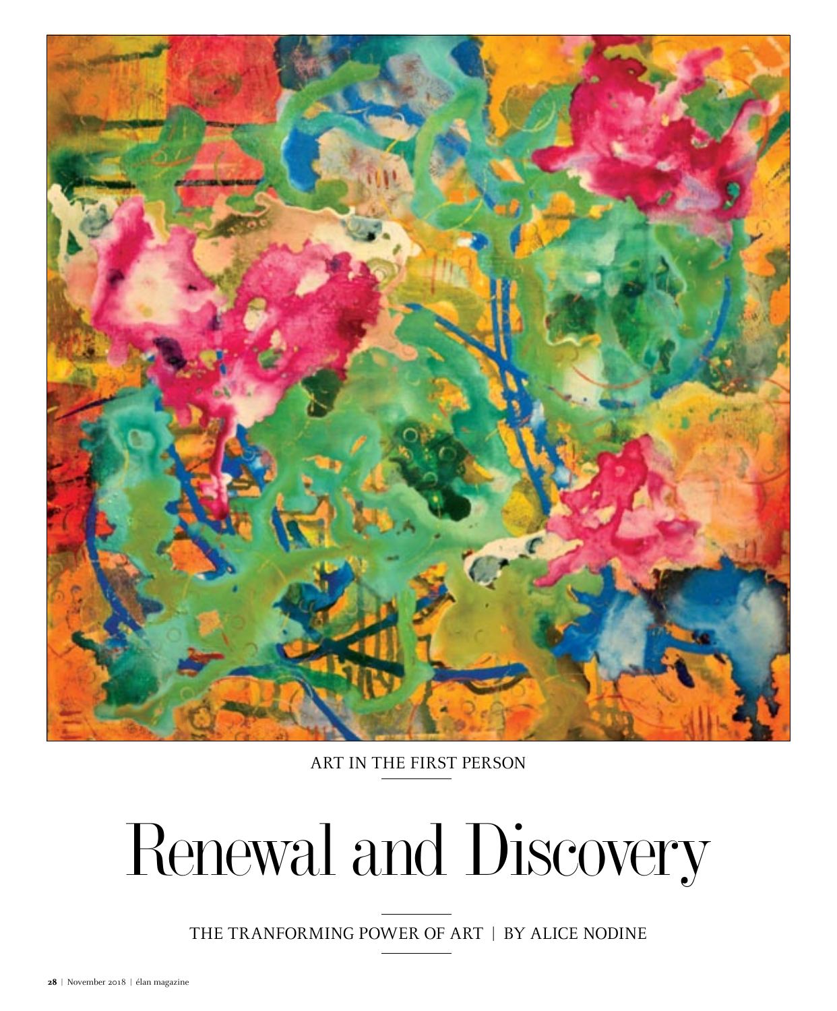

ART IN THE FIRST PERSON

## Renewal and Discovery

THE TRANFORMING POWER OF ART | by ALICE NODINE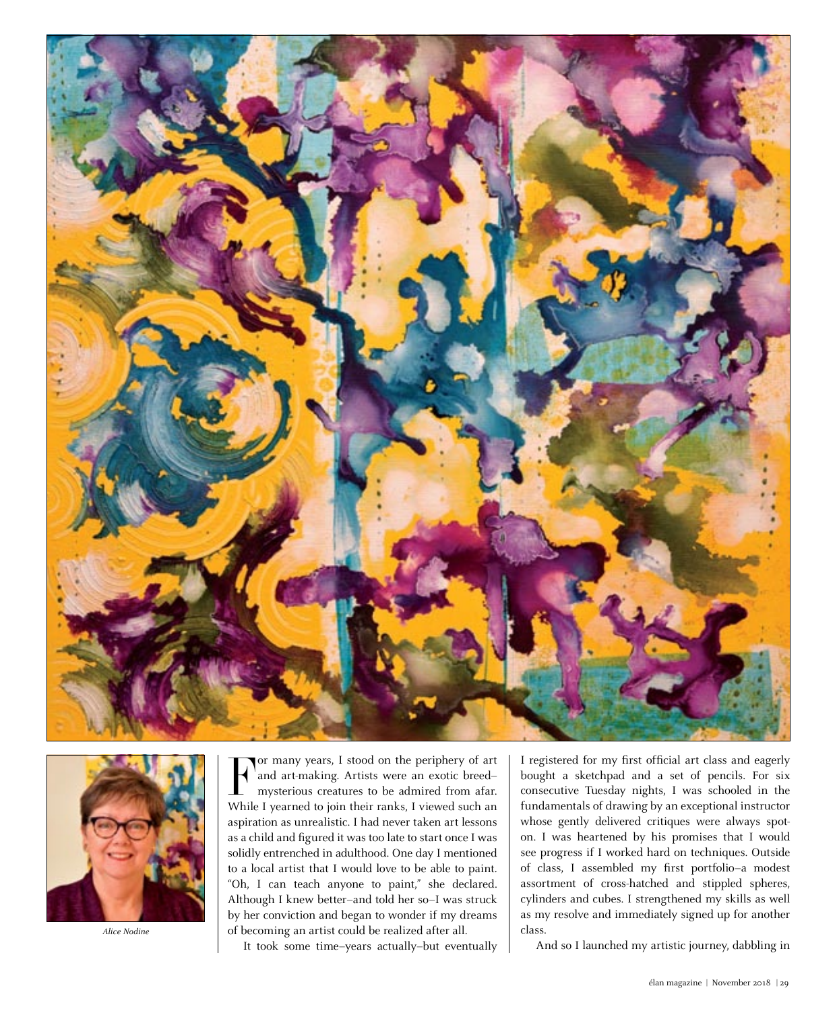



*Alice Nodine*

For many years, I stood on the periphery of art<br>and art-making. Artists were an exotic breed—<br>mysterious creatures to be admired from afar.<br>While I yearned to join their ranks, I viewed such an or many years, I stood on the periphery of art <sup>'</sup>and art-making. Artists were an exotic breed– mysterious creatures to be admired from afar. aspiration as unrealistic. I had never taken art lessons as a child and figured it was too late to start once I was solidly entrenched in adulthood. One day I mentioned to a local artist that I would love to be able to paint. "Oh, I can teach anyone to paint," she declared. Although I knew better–and told her so–I was struck by her conviction and began to wonder if my dreams of becoming an artist could be realized after all.

It took some time–years actually–but eventually

I registered for my first official art class and eagerly bought a sketchpad and a set of pencils. For six consecutive Tuesday nights, I was schooled in the fundamentals of drawing by an exceptional instructor whose gently delivered critiques were always spoton. I was heartened by his promises that I would see progress if I worked hard on techniques. Outside of class, I assembled my first portfolio–a modest assortment of cross-hatched and stippled spheres, cylinders and cubes. I strengthened my skills as well as my resolve and immediately signed up for another class.

And so I launched my artistic journey, dabbling in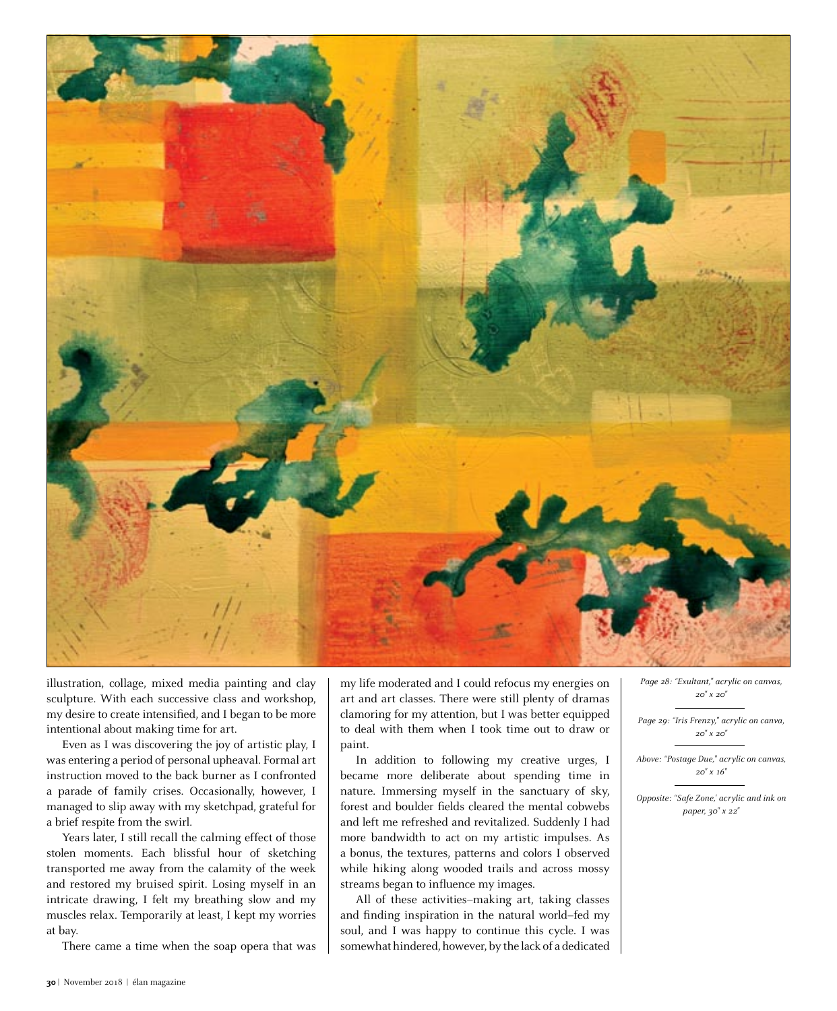

illustration, collage, mixed media painting and clay sculpture. With each successive class and workshop, my desire to create intensified, and I began to be more intentional about making time for art.

Even as I was discovering the joy of artistic play, I was entering a period of personal upheaval. Formal art instruction moved to the back burner as I confronted a parade of family crises. Occasionally, however, I managed to slip away with my sketchpad, grateful for a brief respite from the swirl.

Years later, I still recall the calming effect of those stolen moments. Each blissful hour of sketching transported me away from the calamity of the week and restored my bruised spirit. Losing myself in an intricate drawing, I felt my breathing slow and my muscles relax. Temporarily at least, I kept my worries at bay.

There came a time when the soap opera that was

my life moderated and I could refocus my energies on art and art classes. There were still plenty of dramas clamoring for my attention, but I was better equipped to deal with them when I took time out to draw or paint.

In addition to following my creative urges, I became more deliberate about spending time in nature. Immersing myself in the sanctuary of sky, forest and boulder fields cleared the mental cobwebs and left me refreshed and revitalized. Suddenly I had more bandwidth to act on my artistic impulses. As a bonus, the textures, patterns and colors I observed while hiking along wooded trails and across mossy streams began to influence my images.

All of these activities–making art, taking classes and finding inspiration in the natural world–fed my soul, and I was happy to continue this cycle. I was somewhat hindered, however, by the lack of a dedicated *Page 28: "Exultant," acrylic on canvas, 20" x 20"*

*Page 29: "Iris Frenzy," acrylic on canva, 20" x 20"* 

*Above: "Postage Due," acrylic on canvas, 20" x 16"*

*Opposite: "Safe Zone,' acrylic and ink on paper, 30" x 22"*